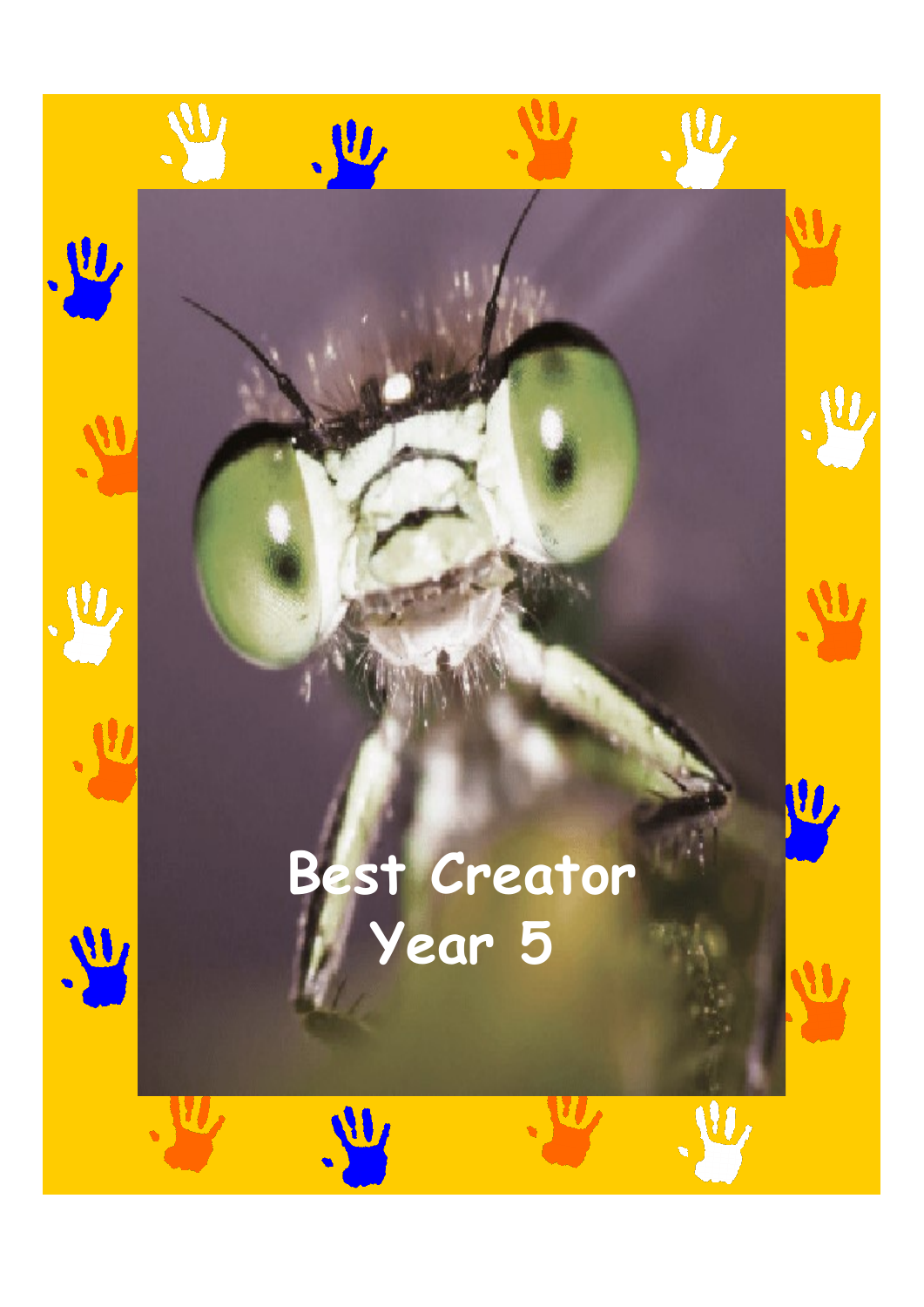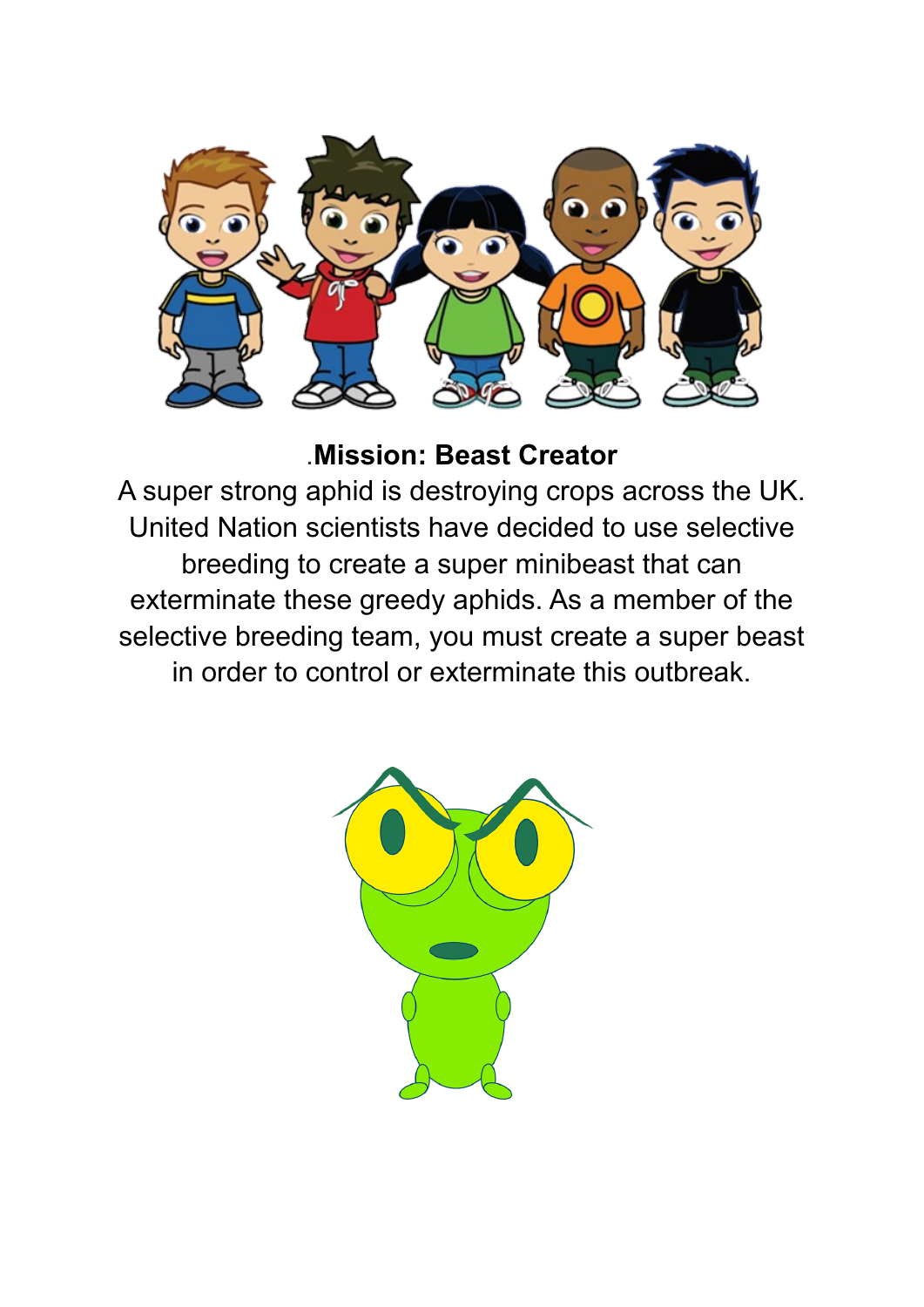

.**Mission: Beast Creator**

A super strong aphid is destroying crops across the UK. United Nation scientists have decided to use selective breeding to create a super minibeast that can exterminate these greedy aphids. As a member of the selective breeding team, you must create a super beast in order to control or exterminate this outbreak.

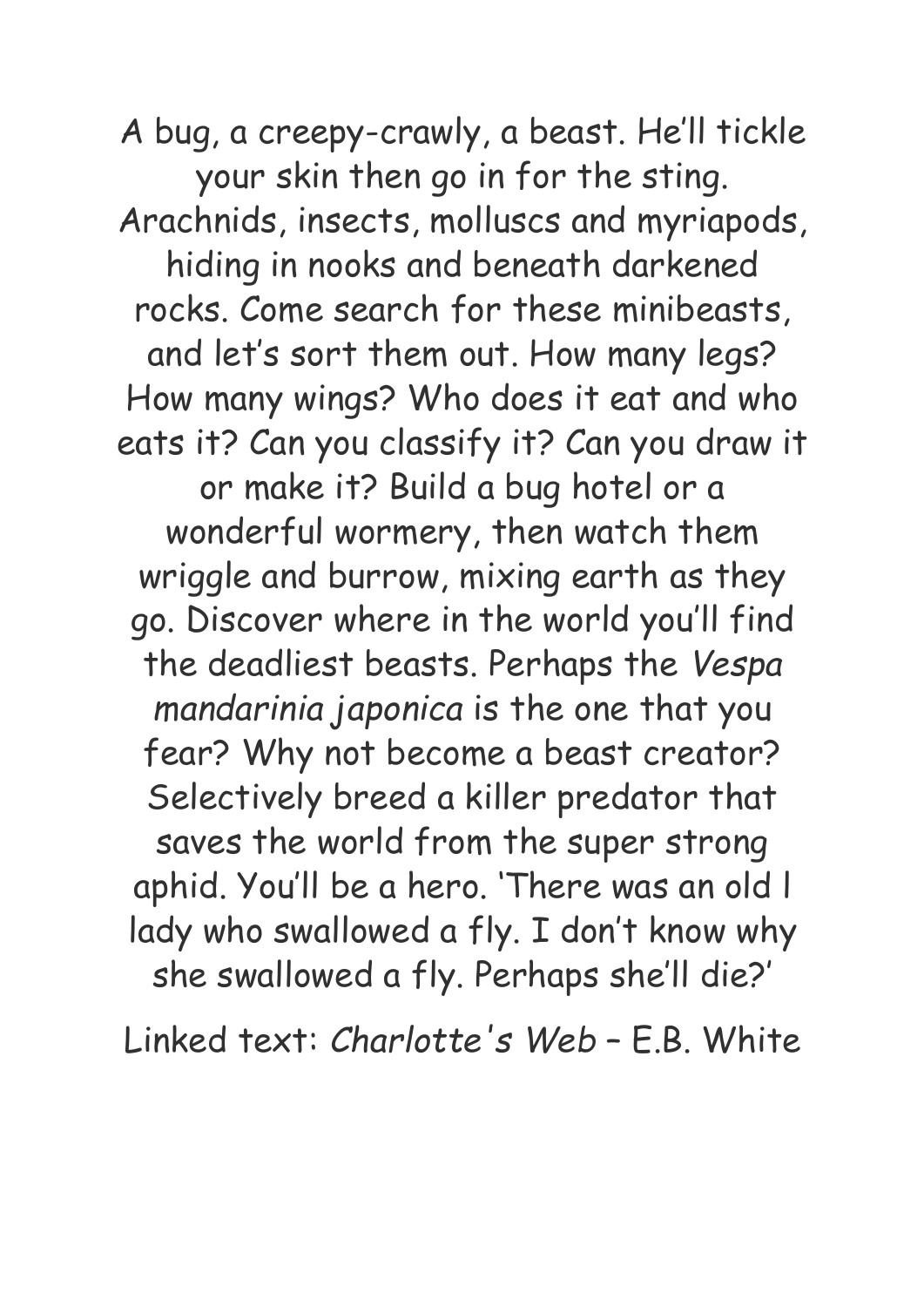A bug, a creepy-crawly, a beast. He'll tickle your skin then go in for the sting. Arachnids, insects, molluscs and myriapods, hiding in nooks and beneath darkened rocks. Come search for these minibeasts, and let's sort them out. How many legs? How many wings? Who does it eat and who eats it? Can you classify it? Can you draw it or make it? Build a bug hotel or a wonderful wormery, then watch them wriggle and burrow, mixing earth as they go. Discover where in the world you'll find the deadliest beasts. Perhaps the *Vespa mandarinia japonica* is the one that you fear? Why not become a beast creator? Selectively breed a killer predator that saves the world from the super strong aphid. You'll be a hero. 'There was an old l lady who swallowed a fly. I don't know why she swallowed a fly. Perhaps she'll die?'

Linked text: *Charlotte's Web* – E.B. White